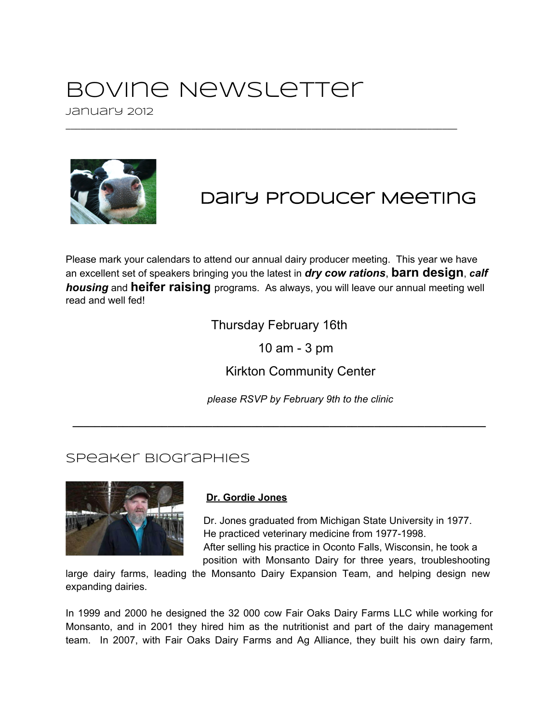## Bovine Newsletter

January 2012



## Dairy Producer Meeting

Please mark your calendars to attend our annual dairy producer meeting. This year we have an excellent set of speakers bringing you the latest in *dry cow rations*, **barn design**, *calf housing* and **heifer raising** programs. As always, you will leave our annual meeting well read and well fed!

\_\_\_\_\_\_\_\_\_\_\_\_\_\_\_\_\_\_\_\_\_\_\_\_\_\_\_\_\_\_\_\_\_\_\_\_\_\_\_\_\_\_\_\_\_\_\_\_\_\_\_\_\_\_\_\_\_\_\_\_\_\_\_\_\_\_\_\_\_\_\_\_\_\_\_\_\_\_

Thursday February 16th

**\_\_\_\_\_\_\_\_\_\_\_\_\_\_\_\_\_\_\_\_\_\_\_\_\_\_\_\_\_\_\_\_\_\_\_\_\_\_\_\_\_\_\_\_\_\_\_\_\_\_\_\_\_\_\_\_\_\_\_\_\_\_\_\_\_\_\_\_\_\_\_\_\_\_**

10 am - 3 pm

Kirkton Community Center

*please RSVP by February 9th to the clinic*

## Speaker Biographies



## **Dr. Gordie Jones**

Dr. Jones graduated from Michigan State University in 1977. He practiced veterinary medicine from 1977-1998. After selling his practice in Oconto Falls, Wisconsin, he took a position with Monsanto Dairy for three years, troubleshooting

large dairy farms, leading the Monsanto Dairy Expansion Team, and helping design new expanding dairies.

In 1999 and 2000 he designed the 32 000 cow Fair Oaks Dairy Farms LLC while working for Monsanto, and in 2001 they hired him as the nutritionist and part of the dairy management team. In 2007, with Fair Oaks Dairy Farms and Ag Alliance, they built his own dairy farm,